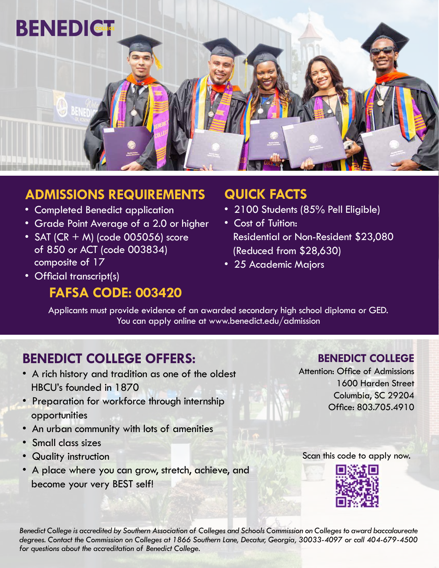

# **ADMISSIONS REQUIREMENTS**

- Completed Benedict application
- Grade Point Average of a 2.0 or higher
- SAT (CR  $+$  M) (code 005056) score of 850 or ACT (code 003834) composite of 17
- **QUICK FACTS**
- 2100 Students (85% Pell Eligible)
- Cost of Tuition: Residential or Non-Resident \$23,080 (Reduced from \$28,630)
- 25 Academic Majors

• Official transcript(s)

# **FAFSA CODE: 003420**

Applicants must provide evidence of an awarded secondary high school diploma or GED. You can apply online at www.benedict.edu/admission

# **BENEDICT COLLEGE OFFERS:**

- A rich history and tradition as one of the oldest HBCU's founded in 1870
- Preparation for workforce through internship opportunities
- An urban community with lots of amenities
- Small class sizes
- Quality instruction
- A place where you can grow, stretch, achieve, and become your very BEST self!

## **BENEDICT COLLEGE**

Attention: Office of Admissions 1600 Harden Street Columbia, SC 29204 Office: 803.705.4910

## Scan this code to apply now.



*Benedict College is accredited by Southern Association of Colleges and Schools Commission on Colleges to award baccalaureate degrees. Contact the Commission on Colleges at 1866 Southern Lane, Decatur, Georgia, 30033-4097 or call 404-679-4500 for questions about the accreditation of Benedict College.*